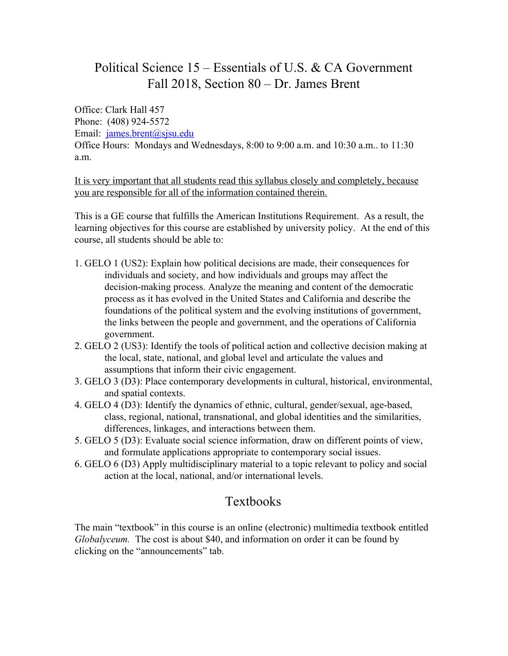# Political Science 15 – Essentials of U.S. & CA Government Fall 2018, Section 80 – Dr. James Brent

Office: Clark Hall 457 Phone: (408) 924-5572 Email: [james.brent@sjsu.edu](mailto:james.brent@sjsu.edu) Office Hours: Mondays and Wednesdays, 8:00 to 9:00 a.m. and 10:30 a.m.. to 11:30 a.m.

It is very important that all students read this syllabus closely and completely, because you are responsible for all of the information contained therein.

This is a GE course that fulfills the American Institutions Requirement. As a result, the learning objectives for this course are established by university policy. At the end of this course, all students should be able to:

- 1. GELO 1 (US2): Explain how political decisions are made, their consequences for individuals and society, and how individuals and groups may affect the decision-making process. Analyze the meaning and content of the democratic process as it has evolved in the United States and California and describe the foundations of the political system and the evolving institutions of government, the links between the people and government, and the operations of California government.
- 2. GELO 2 (US3): Identify the tools of political action and collective decision making at the local, state, national, and global level and articulate the values and assumptions that inform their civic engagement.
- 3. GELO 3 (D3): Place contemporary developments in cultural, historical, environmental, and spatial contexts.
- 4. GELO 4 (D3): Identify the dynamics of ethnic, cultural, gender/sexual, age-based, class, regional, national, transnational, and global identities and the similarities, differences, linkages, and interactions between them.
- 5. GELO 5 (D3): Evaluate social science information, draw on different points of view, and formulate applications appropriate to contemporary social issues.
- 6. GELO 6 (D3) Apply multidisciplinary material to a topic relevant to policy and social action at the local, national, and/or international levels.

## Textbooks

The main "textbook" in this course is an online (electronic) multimedia textbook entitled *Globalyceum.* The cost is about \$40, and information on order it can be found by clicking on the "announcements" tab.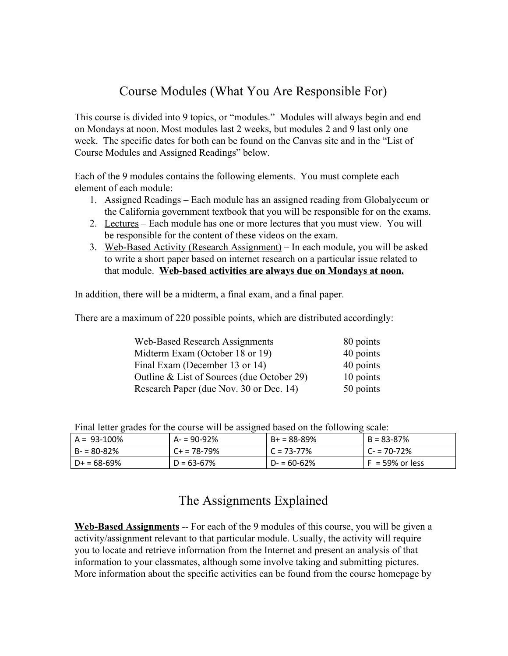## Course Modules (What You Are Responsible For)

This course is divided into 9 topics, or "modules." Modules will always begin and end on Mondays at noon. Most modules last 2 weeks, but modules 2 and 9 last only one week. The specific dates for both can be found on the Canvas site and in the "List of Course Modules and Assigned Readings" below.

Each of the 9 modules contains the following elements. You must complete each element of each module:

- 1. Assigned Readings Each module has an assigned reading from Globalyceum or the California government textbook that you will be responsible for on the exams.
- 2. Lectures Each module has one or more lectures that you must view. You will be responsible for the content of these videos on the exam.
- 3. Web-Based Activity (Research Assignment) In each module, you will be asked to write a short paper based on internet research on a particular issue related to that module. **Web-based activities are always due on Mondays at noon.**

In addition, there will be a midterm, a final exam, and a final paper.

There are a maximum of 220 possible points, which are distributed accordingly:

| <b>Web-Based Research Assignments</b>      | 80 points |  |
|--------------------------------------------|-----------|--|
| Midterm Exam (October 18 or 19)            | 40 points |  |
| Final Exam (December 13 or 14)             | 40 points |  |
| Outline & List of Sources (due October 29) | 10 points |  |
| Research Paper (due Nov. 30 or Dec. 14)    | 50 points |  |

| Think return graded for the completent or addigined onded on the following beare. |                |                 |                    |
|-----------------------------------------------------------------------------------|----------------|-----------------|--------------------|
| $A = 93 - 100\%$                                                                  | $A = 90-92%$   | $B+ = 88-89%$   | $B = 83 - 87%$     |
| $B - 80 - 82%$                                                                    | $C+ = 78-79%$  | $C = 73 - 77\%$ | $C = 70 - 72\%$    |
| $D+ = 68-69%$                                                                     | $D = 63 - 67%$ | $D = 60 - 62%$  | $F = 59\%$ or less |

Final letter grades for the course will be assigned based on the following scale:

# The Assignments Explained

**Web-Based Assignments** -- For each of the 9 modules of this course, you will be given a activity/assignment relevant to that particular module. Usually, the activity will require you to locate and retrieve information from the Internet and present an analysis of that information to your classmates, although some involve taking and submitting pictures. More information about the specific activities can be found from the course homepage by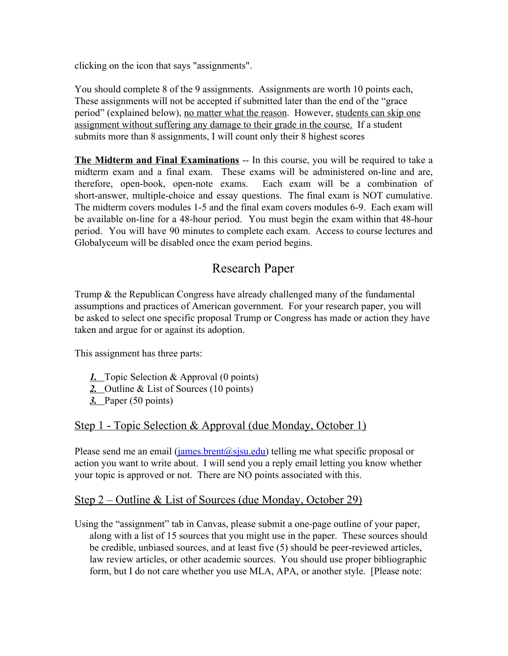clicking on the icon that says "assignments".

You should complete 8 of the 9 assignments. Assignments are worth 10 points each, These assignments will not be accepted if submitted later than the end of the "grace period" (explained below), no matter what the reason. However, students can skip one assignment without suffering any damage to their grade in the course. If a student submits more than 8 assignments, I will count only their 8 highest scores

**The Midterm and Final Examinations** -- In this course, you will be required to take a midterm exam and a final exam. These exams will be administered on-line and are, therefore, open-book, open-note exams. Each exam will be a combination of short-answer, multiple-choice and essay questions. The final exam is NOT cumulative. The midterm covers modules 1-5 and the final exam covers modules 6-9. Each exam will be available on-line for a 48-hour period. You must begin the exam within that 48-hour period. You will have 90 minutes to complete each exam. Access to course lectures and Globalyceum will be disabled once the exam period begins.

# Research Paper

Trump & the Republican Congress have already challenged many of the fundamental assumptions and practices of American government. For your research paper, you will be asked to select one specific proposal Trump or Congress has made or action they have taken and argue for or against its adoption.

This assignment has three parts:

- *1.* Topic Selection & Approval (0 points)
- *2.* Outline & List of Sources (10 points)
- *3.* Paper (50 points)

### Step 1 - Topic Selection & Approval (due Monday, October 1)

Please send me an email [\(james.brent@sjsu.edu\)](mailto:james.brent@sjsu.edu) telling me what specific proposal or action you want to write about. I will send you a reply email letting you know whether your topic is approved or not. There are NO points associated with this.

#### Step 2 – Outline & List of Sources (due Monday, October 29)

Using the "assignment" tab in Canvas, please submit a one-page outline of your paper, along with a list of 15 sources that you might use in the paper. These sources should be credible, unbiased sources, and at least five (5) should be peer-reviewed articles, law review articles, or other academic sources. You should use proper bibliographic form, but I do not care whether you use MLA, APA, or another style. [Please note: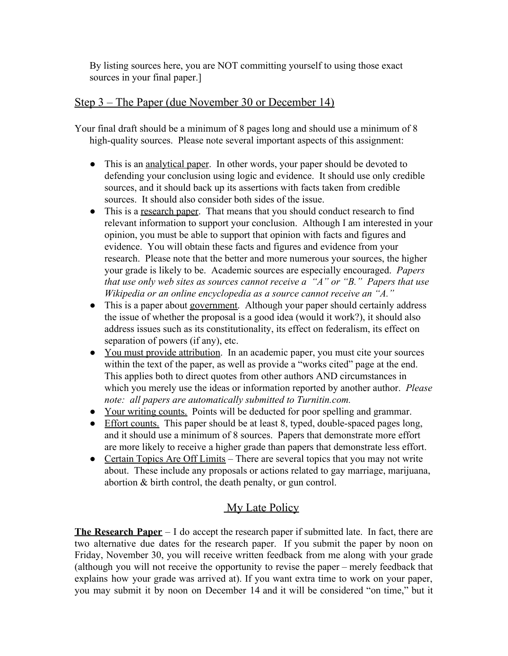By listing sources here, you are NOT committing yourself to using those exact sources in your final paper.]

### Step 3 – The Paper (due November 30 or December 14)

Your final draft should be a minimum of 8 pages long and should use a minimum of 8 high-quality sources. Please note several important aspects of this assignment:

- This is an <u>analytical paper</u>. In other words, your paper should be devoted to defending your conclusion using logic and evidence. It should use only credible sources, and it should back up its assertions with facts taken from credible sources. It should also consider both sides of the issue.
- This is a research paper. That means that you should conduct research to find relevant information to support your conclusion. Although I am interested in your opinion, you must be able to support that opinion with facts and figures and evidence. You will obtain these facts and figures and evidence from your research. Please note that the better and more numerous your sources, the higher your grade is likely to be. Academic sources are especially encouraged. *Papers that use only web sites as sources cannot receive a "A" or "B." Papers that use Wikipedia or an online encyclopedia as a source cannot receive an "A."*
- This is a paper about government. Although your paper should certainly address the issue of whether the proposal is a good idea (would it work?), it should also address issues such as its constitutionality, its effect on federalism, its effect on separation of powers (if any), etc.
- *●* You must provide attribution. In an academic paper, you must cite your sources within the text of the paper, as well as provide a "works cited" page at the end. This applies both to direct quotes from other authors AND circumstances in which you merely use the ideas or information reported by another author. *Please note: all papers are automatically submitted to Turnitin.com.*
- Your writing counts. Points will be deducted for poor spelling and grammar.
- Effort counts. This paper should be at least 8, typed, double-spaced pages long, and it should use a minimum of 8 sources. Papers that demonstrate more effort are more likely to receive a higher grade than papers that demonstrate less effort.
- Certain Topics Are Off Limits There are several topics that you may not write about. These include any proposals or actions related to gay marriage, marijuana, abortion & birth control, the death penalty, or gun control.

### My Late Policy

**The Research Paper** – I do accept the research paper if submitted late. In fact, there are two alternative due dates for the research paper. If you submit the paper by noon on Friday, November 30, you will receive written feedback from me along with your grade (although you will not receive the opportunity to revise the paper – merely feedback that explains how your grade was arrived at). If you want extra time to work on your paper, you may submit it by noon on December 14 and it will be considered "on time," but it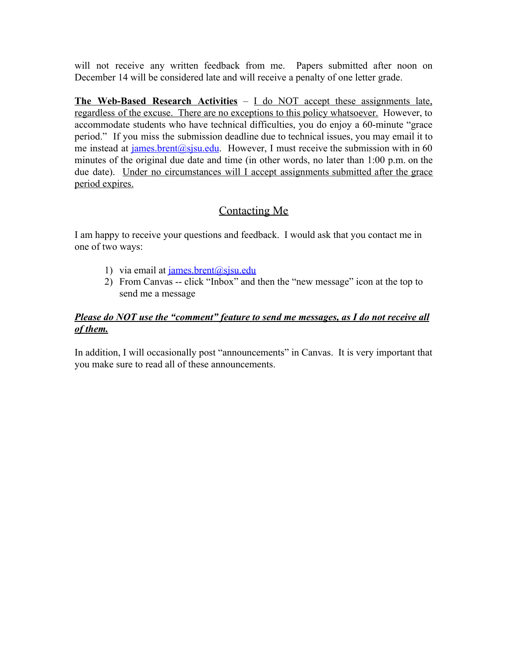will not receive any written feedback from me. Papers submitted after noon on December 14 will be considered late and will receive a penalty of one letter grade.

**The Web-Based Research Activities** – I do NOT accept these assignments late, regardless of the excuse. There are no exceptions to this policy whatsoever. However, to accommodate students who have technical difficulties, you do enjoy a 60-minute "grace period." If you miss the submission deadline due to technical issues, you may email it to me instead at  $\frac{1}{\text{ames.} \text{brent}(a)$  sisu.edu. However, I must receive the submission with in 60 minutes of the original due date and time (in other words, no later than 1:00 p.m. on the due date). Under no circumstances will I accept assignments submitted after the grace period expires.

### Contacting Me

I am happy to receive your questions and feedback. I would ask that you contact me in one of two ways:

- 1) via email at  $\frac{1}{\text{ames.}}$ brent $\omega$ s isu.edu
- 2) From Canvas -- click "Inbox" and then the "new message" icon at the top to send me a message

#### *Please do NOT use the "comment" feature to send me messages, as I do not receive all of them.*

In addition, I will occasionally post "announcements" in Canvas. It is very important that you make sure to read all of these announcements.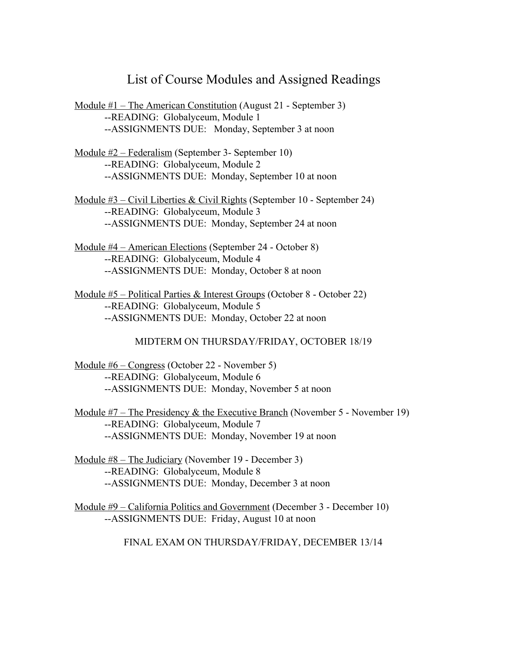### List of Course Modules and Assigned Readings

- Module #1 The American Constitution (August 21 September 3) --READING: Globalyceum, Module 1 --ASSIGNMENTS DUE: Monday, September 3 at noon
- Module #2 Federalism (September 3- September 10) --READING: Globalyceum, Module 2 --ASSIGNMENTS DUE: Monday, September 10 at noon
- Module  $#3$  Civil Liberties & Civil Rights (September 10 September 24) --READING: Globalyceum, Module 3 --ASSIGNMENTS DUE: Monday, September 24 at noon
- Module #4 American Elections (September 24 October 8) --READING: Globalyceum, Module 4 --ASSIGNMENTS DUE: Monday, October 8 at noon
- Module #5 Political Parties & Interest Groups (October 8 October 22) --READING: Globalyceum, Module 5 --ASSIGNMENTS DUE: Monday, October 22 at noon
	- MIDTERM ON THURSDAY/FRIDAY, OCTOBER 18/19
- Module #6 Congress (October 22 November 5) --READING: Globalyceum, Module 6 --ASSIGNMENTS DUE: Monday, November 5 at noon
- Module  $#7$  The Presidency & the Executive Branch (November 5 November 19) --READING: Globalyceum, Module 7 --ASSIGNMENTS DUE: Monday, November 19 at noon
- Module #8 The Judiciary (November 19 December 3) --READING: Globalyceum, Module 8 --ASSIGNMENTS DUE: Monday, December 3 at noon
- Module #9 California Politics and Government (December 3 December 10) --ASSIGNMENTS DUE: Friday, August 10 at noon

FINAL EXAM ON THURSDAY/FRIDAY, DECEMBER 13/14